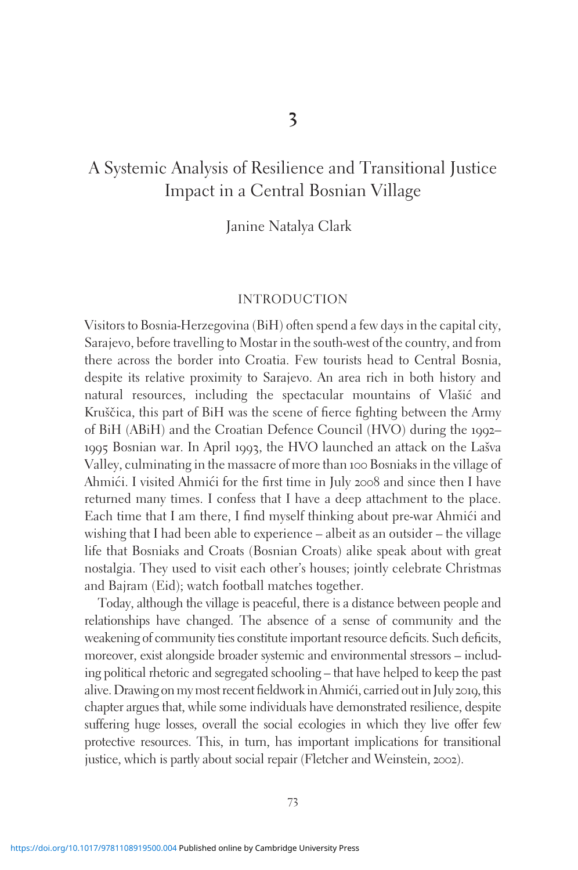# A Systemic Analysis of Resilience and Transitional Justice Impact in a Central Bosnian Village

Janine Natalya Clark

#### INTRODUCTION

Visitors to Bosnia-Herzegovina (BiH) often spend a few days in the capital city, Sarajevo, before travelling to Mostar in the south-west of the country, and from there across the border into Croatia. Few tourists head to Central Bosnia, despite its relative proximity to Sarajevo. An area rich in both history and natural resources, including the spectacular mountains of Vlašić and Kruščica, this part of BiH was the scene of fierce fighting between the Army of BiH (ABiH) and the Croatian Defence Council (HVO) during the 1992– 1995 Bosnian war. In April 1993, the HVO launched an attack on the Lašva Valley, culminating in the massacre of more than 100 Bosniaks in the village of Ahmići. I visited Ahmići for the first time in July 2008 and since then I have returned many times. I confess that I have a deep attachment to the place. Each time that I am there, I find myself thinking about pre-war Ahmići and wishing that I had been able to experience – albeit as an outsider – the village life that Bosniaks and Croats (Bosnian Croats) alike speak about with great nostalgia. They used to visit each other's houses; jointly celebrate Christmas and Bajram (Eid); watch football matches together.

Today, although the village is peaceful, there is a distance between people and relationships have changed. The absence of a sense of community and the weakening of community ties constitute important resource deficits. Such deficits, moreover, exist alongside broader systemic and environmental stressors – including political rhetoric and segregated schooling – that have helped to keep the past alive. Drawing on my most recent fieldwork in Ahmići, carried out in July 2019, this chapter argues that, while some individuals have demonstrated resilience, despite suffering huge losses, overall the social ecologies in which they live offer few protective resources. This, in turn, has important implications for transitional justice, which is partly about social repair (Fletcher and Weinstein, 2002).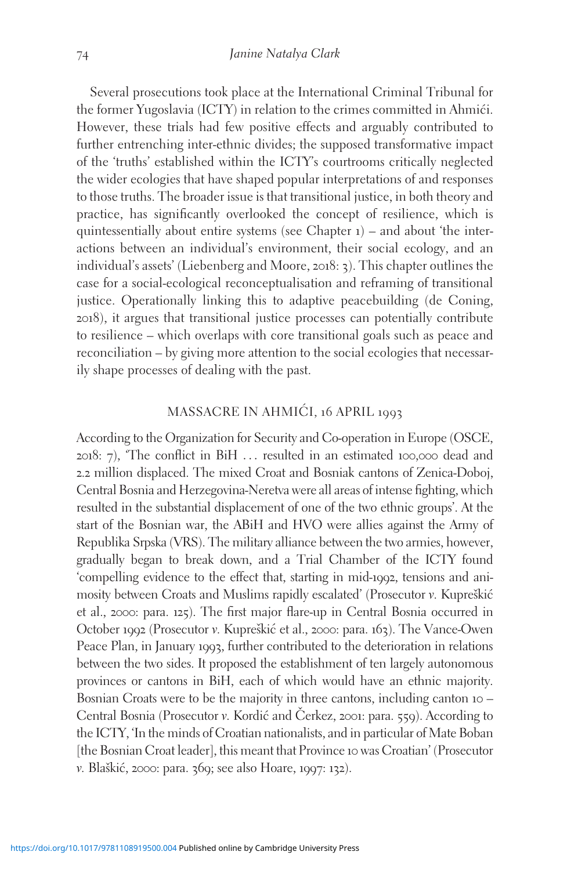Several prosecutions took place at the International Criminal Tribunal for the former Yugoslavia (ICTY) in relation to the crimes committed in Ahmići. However, these trials had few positive effects and arguably contributed to further entrenching inter-ethnic divides; the supposed transformative impact of the 'truths' established within the ICTY's courtrooms critically neglected the wider ecologies that have shaped popular interpretations of and responses to those truths. The broader issue is that transitional justice, in both theory and practice, has significantly overlooked the concept of resilience, which is quintessentially about entire systems (see Chapter 1) – and about 'the interactions between an individual's environment, their social ecology, and an individual's assets' (Liebenberg and Moore, 2018: 3). This chapter outlines the case for a social-ecological reconceptualisation and reframing of transitional justice. Operationally linking this to adaptive peacebuilding (de Coning, 2018), it argues that transitional justice processes can potentially contribute to resilience – which overlaps with core transitional goals such as peace and reconciliation – by giving more attention to the social ecologies that necessarily shape processes of dealing with the past.

### MASSACRE IN AHMIĆI, 16 APRIL 1993

According to the Organization for Security and Co-operation in Europe (OSCE, 2018: 7), 'The conflict in BiH ... resulted in an estimated 100,000 dead and 2.2 million displaced. The mixed Croat and Bosniak cantons of Zenica-Doboj, Central Bosnia and Herzegovina-Neretva were all areas of intense fighting, which resulted in the substantial displacement of one of the two ethnic groups'. At the start of the Bosnian war, the ABiH and HVO were allies against the Army of Republika Srpska (VRS). The military alliance between the two armies, however, gradually began to break down, and a Trial Chamber of the ICTY found 'compelling evidence to the effect that, starting in mid-1992, tensions and animosity between Croats and Muslims rapidly escalated' (Prosecutor v. Kupreškić et al., 2000: para. 125). The first major flare-up in Central Bosnia occurred in October 1992 (Prosecutor v. Kupreškić et al., 2000: para. 163). The Vance-Owen Peace Plan, in January 1993, further contributed to the deterioration in relations between the two sides. It proposed the establishment of ten largely autonomous provinces or cantons in BiH, each of which would have an ethnic majority. Bosnian Croats were to be the majority in three cantons, including canton 10 – Central Bosnia (Prosecutor v. Kordić and Čerkez, 2001: para. 559). According to the ICTY, 'In the minds of Croatian nationalists, and in particular of Mate Boban [the Bosnian Croat leader], this meant that Province 10 was Croatian' (Prosecutor v. Blaškić, 2000: para. 369; see also Hoare, 1997: 132).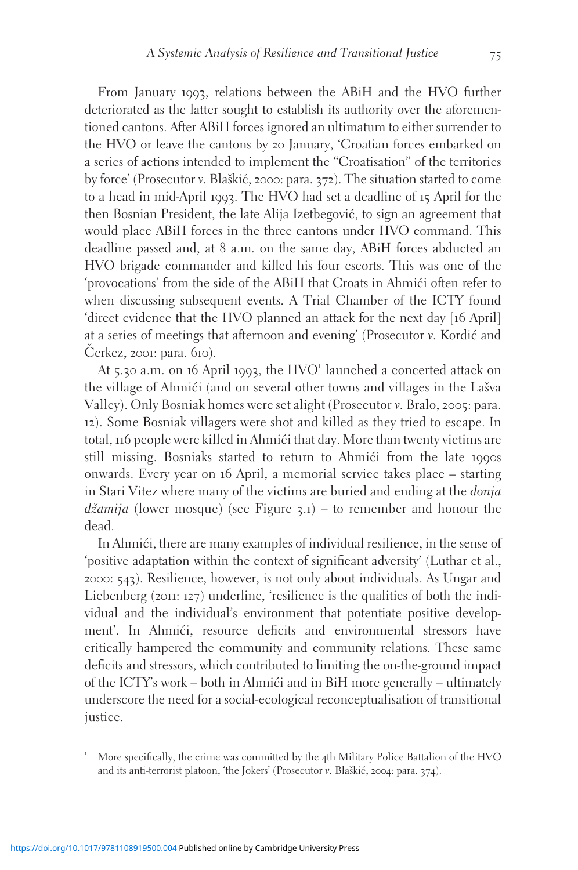From January 1993, relations between the ABiH and the HVO further deteriorated as the latter sought to establish its authority over the aforementioned cantons. After ABiH forces ignored an ultimatum to either surrender to the HVO or leave the cantons by 20 January, 'Croatian forces embarked on a series of actions intended to implement the "Croatisation" of the territories by force' (Prosecutor v. Blaškić, 2000: para. 372). The situation started to come to a head in mid-April 1993. The HVO had set a deadline of 15 April for the then Bosnian President, the late Alija Izetbegović, to sign an agreement that would place ABiH forces in the three cantons under HVO command. This deadline passed and, at 8 a.m. on the same day, ABiH forces abducted an HVO brigade commander and killed his four escorts. This was one of the

'provocations' from the side of the ABiH that Croats in Ahmići often refer to when discussing subsequent events. A Trial Chamber of the ICTY found 'direct evidence that the HVO planned an attack for the next day [16 April] at a series of meetings that afternoon and evening' (Prosecutor v. Kordic´ and  $Č$ erkez, 2001: para.  $610$ ).

At 5.30 a.m. on 16 April 1993, the  $HVO<sup>1</sup>$  launched a concerted attack on the village of Ahmići (and on several other towns and villages in the Lašva Valley). Only Bosniak homes were set alight (Prosecutor v. Bralo, 2005: para. 12). Some Bosniak villagers were shot and killed as they tried to escape. In total, 116 people were killed in Ahmići that day. More than twenty victims are still missing. Bosniaks started to return to Ahmići from the late 1990s onwards. Every year on 16 April, a memorial service takes place – starting in Stari Vitez where many of the victims are buried and ending at the donja  $d\zeta$ *amija* (lower mosque) (see Figure 3.1) – to remember and honour the dead.

In Ahmići, there are many examples of individual resilience, in the sense of 'positive adaptation within the context of significant adversity' (Luthar et al., 2000: 543). Resilience, however, is not only about individuals. As Ungar and Liebenberg (2011: 127) underline, 'resilience is the qualities of both the individual and the individual's environment that potentiate positive development'. In Ahmići, resource deficits and environmental stressors have critically hampered the community and community relations. These same deficits and stressors, which contributed to limiting the on-the-ground impact of the ICTY's work – both in Ahmići and in BiH more generally – ultimately underscore the need for a social-ecological reconceptualisation of transitional justice.

<sup>1</sup> More specifically, the crime was committed by the <sup>4</sup>th Military Police Battalion of the HVO and its anti-terrorist platoon, 'the Jokers' (Prosecutor v. Blaškić, 2004: para. 374).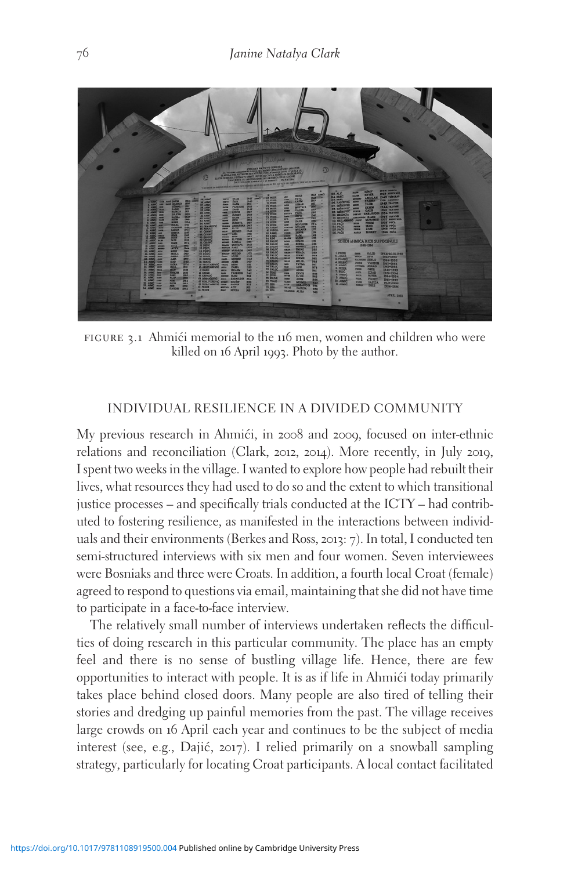

FIGURE 3.1 Ahmići memorial to the 116 men, women and children who were killed on 16 April 1993. Photo by the author.

### INDIVIDUAL RESILIENCE IN A DIVIDED COMMUNITY

My previous research in Ahmići, in 2008 and 2009, focused on inter-ethnic relations and reconciliation (Clark, 2012, 2014). More recently, in July 2019, I spent two weeks in the village. I wanted to explore how people had rebuilt their lives, what resources they had used to do so and the extent to which transitional justice processes – and specifically trials conducted at the ICTY – had contributed to fostering resilience, as manifested in the interactions between individuals and their environments (Berkes and Ross, 2013: 7). In total, I conducted ten semi-structured interviews with six men and four women. Seven interviewees were Bosniaks and three were Croats. In addition, a fourth local Croat (female) agreed to respond to questions via email, maintaining that she did not have time to participate in a face-to-face interview.

The relatively small number of interviews undertaken reflects the difficulties of doing research in this particular community. The place has an empty feel and there is no sense of bustling village life. Hence, there are few opportunities to interact with people. It is as if life in Ahmići today primarily takes place behind closed doors. Many people are also tired of telling their stories and dredging up painful memories from the past. The village receives large crowds on 16 April each year and continues to be the subject of media interest (see, e.g., Dajić, 2017). I relied primarily on a snowball sampling strategy, particularly for locating Croat participants. A local contact facilitated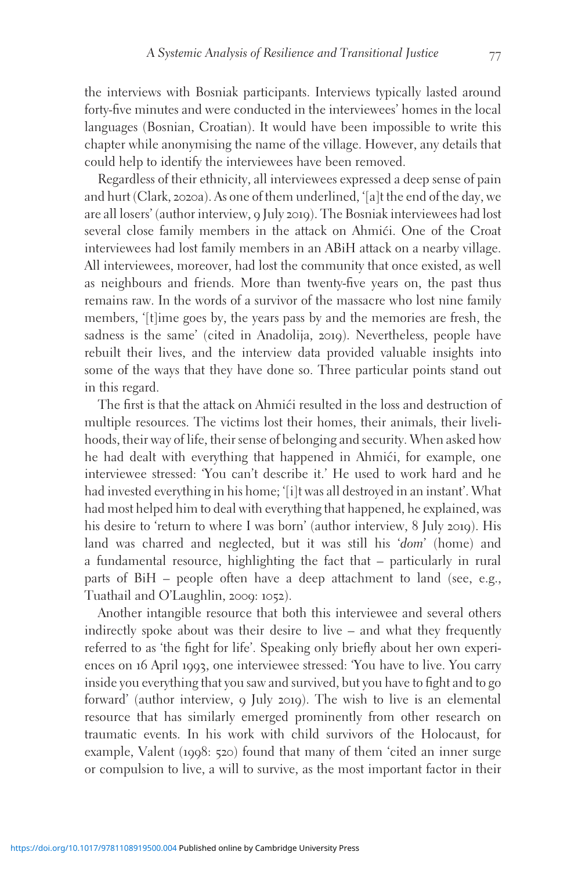the interviews with Bosniak participants. Interviews typically lasted around forty-five minutes and were conducted in the interviewees' homes in the local languages (Bosnian, Croatian). It would have been impossible to write this chapter while anonymising the name of the village. However, any details that could help to identify the interviewees have been removed.

Regardless of their ethnicity, all interviewees expressed a deep sense of pain and hurt (Clark, 2020a). As one of them underlined, '[a]t the end of the day, we are all losers' (author interview, 9 July 2019). The Bosniak interviewees had lost several close family members in the attack on Ahmići. One of the Croat interviewees had lost family members in an ABiH attack on a nearby village. All interviewees, moreover, had lost the community that once existed, as well as neighbours and friends. More than twenty-five years on, the past thus remains raw. In the words of a survivor of the massacre who lost nine family members, '[t]ime goes by, the years pass by and the memories are fresh, the sadness is the same' (cited in Anadolija, 2019). Nevertheless, people have rebuilt their lives, and the interview data provided valuable insights into some of the ways that they have done so. Three particular points stand out in this regard.

The first is that the attack on Ahmići resulted in the loss and destruction of multiple resources. The victims lost their homes, their animals, their livelihoods, their way of life, their sense of belonging and security. When asked how he had dealt with everything that happened in Ahmići, for example, one interviewee stressed: 'You can't describe it.' He used to work hard and he had invested everything in his home; '[i]t was all destroyed in an instant'. What had most helped him to deal with everything that happened, he explained, was his desire to 'return to where I was born' (author interview, 8 July 2019). His land was charred and neglected, but it was still his 'dom' (home) and a fundamental resource, highlighting the fact that – particularly in rural parts of BiH – people often have a deep attachment to land (see, e.g., Tuathail and O'Laughlin, 2009: 1052).

Another intangible resource that both this interviewee and several others indirectly spoke about was their desire to live – and what they frequently referred to as 'the fight for life'. Speaking only briefly about her own experiences on 16 April 1993, one interviewee stressed: 'You have to live. You carry inside you everything that you saw and survived, but you have to fight and to go forward' (author interview, 9 July 2019). The wish to live is an elemental resource that has similarly emerged prominently from other research on traumatic events. In his work with child survivors of the Holocaust, for example, Valent (1998: 520) found that many of them 'cited an inner surge or compulsion to live, a will to survive, as the most important factor in their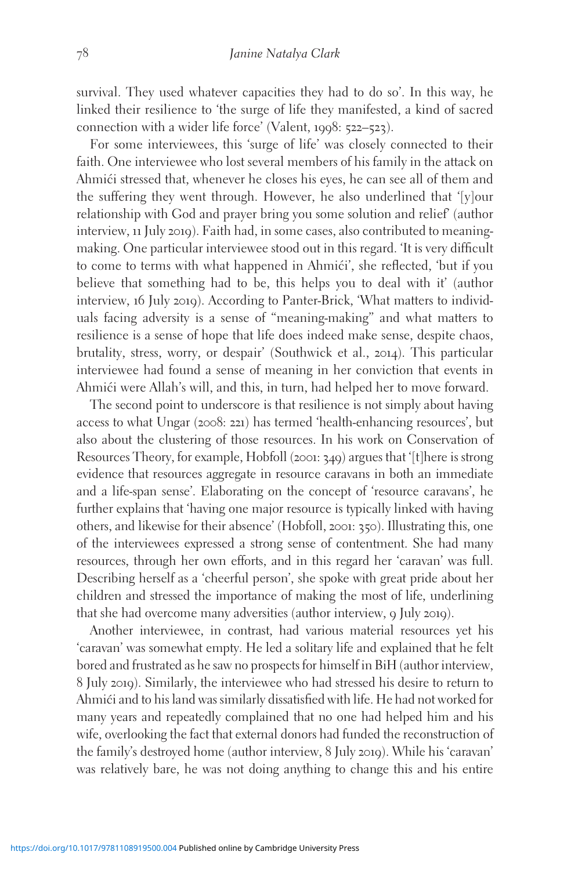survival. They used whatever capacities they had to do so'. In this way, he linked their resilience to 'the surge of life they manifested, a kind of sacred connection with a wider life force' (Valent, 1998: 522–523).

For some interviewees, this 'surge of life' was closely connected to their faith. One interviewee who lost several members of his family in the attack on Ahmići stressed that, whenever he closes his eyes, he can see all of them and the suffering they went through. However, he also underlined that '[y]our relationship with God and prayer bring you some solution and relief' (author interview, 11 July 2019). Faith had, in some cases, also contributed to meaningmaking. One particular interviewee stood out in this regard. 'It is very difficult to come to terms with what happened in Ahmići', she reflected, 'but if you believe that something had to be, this helps you to deal with it' (author interview, 16 July 2019). According to Panter-Brick, 'What matters to individuals facing adversity is a sense of "meaning-making" and what matters to resilience is a sense of hope that life does indeed make sense, despite chaos, brutality, stress, worry, or despair' (Southwick et al., 2014). This particular interviewee had found a sense of meaning in her conviction that events in Ahmići were Allah's will, and this, in turn, had helped her to move forward.

The second point to underscore is that resilience is not simply about having access to what Ungar (2008: 221) has termed 'health-enhancing resources', but also about the clustering of those resources. In his work on Conservation of Resources Theory, for example, Hobfoll (2001: 349) argues that '[t]here is strong evidence that resources aggregate in resource caravans in both an immediate and a life-span sense'. Elaborating on the concept of 'resource caravans', he further explains that 'having one major resource is typically linked with having others, and likewise for their absence' (Hobfoll, 2001: 350). Illustrating this, one of the interviewees expressed a strong sense of contentment. She had many resources, through her own efforts, and in this regard her 'caravan' was full. Describing herself as a 'cheerful person', she spoke with great pride about her children and stressed the importance of making the most of life, underlining that she had overcome many adversities (author interview, 9 July 2019).

Another interviewee, in contrast, had various material resources yet his 'caravan' was somewhat empty. He led a solitary life and explained that he felt bored and frustrated as he saw no prospects for himself in BiH (author interview, 8 July 2019). Similarly, the interviewee who had stressed his desire to return to Ahmici and to his land was similarly dissatisfied with life. He had not worked for many years and repeatedly complained that no one had helped him and his wife, overlooking the fact that external donors had funded the reconstruction of the family's destroyed home (author interview, 8 July 2019). While his 'caravan' was relatively bare, he was not doing anything to change this and his entire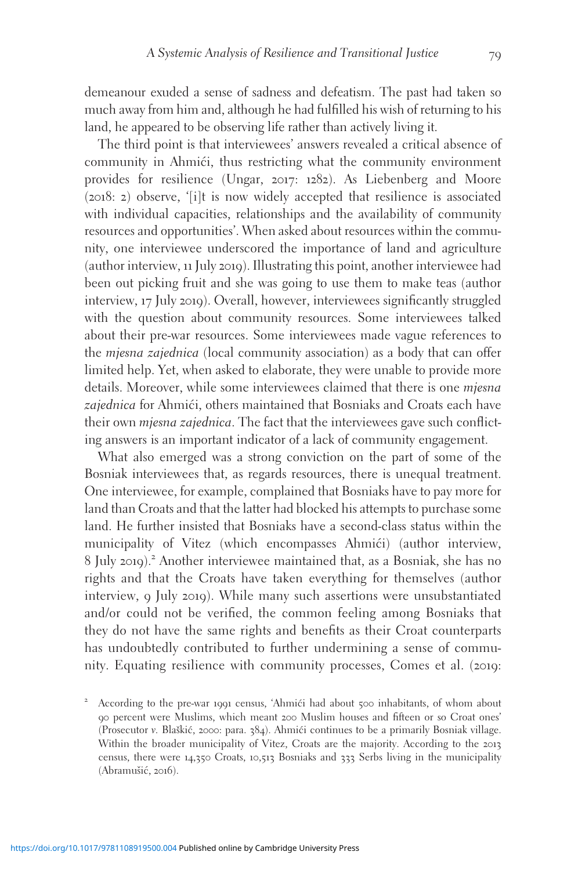demeanour exuded a sense of sadness and defeatism. The past had taken so much away from him and, although he had fulfilled his wish of returning to his land, he appeared to be observing life rather than actively living it.

The third point is that interviewees' answers revealed a critical absence of community in Ahmići, thus restricting what the community environment provides for resilience (Ungar, 2017: 1282). As Liebenberg and Moore (2018: 2) observe, '[i]t is now widely accepted that resilience is associated with individual capacities, relationships and the availability of community resources and opportunities'. When asked about resources within the community, one interviewee underscored the importance of land and agriculture (author interview, 11 July 2019). Illustrating this point, another interviewee had been out picking fruit and she was going to use them to make teas (author interview, 17 July 2019). Overall, however, interviewees significantly struggled with the question about community resources. Some interviewees talked about their pre-war resources. Some interviewees made vague references to the mjesna zajednica (local community association) as a body that can offer limited help. Yet, when asked to elaborate, they were unable to provide more details. Moreover, while some interviewees claimed that there is one mjesna zajednica for Ahmići, others maintained that Bosniaks and Croats each have their own *mjesna zajednica*. The fact that the interviewees gave such conflicting answers is an important indicator of a lack of community engagement.

What also emerged was a strong conviction on the part of some of the Bosniak interviewees that, as regards resources, there is unequal treatment. One interviewee, for example, complained that Bosniaks have to pay more for land than Croats and that the latter had blocked his attempts to purchase some land. He further insisted that Bosniaks have a second-class status within the municipality of Vitez (which encompasses Ahmići) (author interview, <sup>8</sup> July <sup>2019</sup>).<sup>2</sup> Another interviewee maintained that, as a Bosniak, she has no rights and that the Croats have taken everything for themselves (author interview, 9 July 2019). While many such assertions were unsubstantiated and/or could not be verified, the common feeling among Bosniaks that they do not have the same rights and benefits as their Croat counterparts has undoubtedly contributed to further undermining a sense of community. Equating resilience with community processes, Comes et al. (2019:

According to the pre-war 1991 census, 'Ahmići had about 500 inhabitants, of whom about 90 percent were Muslims, which meant 200 Muslim houses and fifteen or so Croat ones' (Prosecutor v. Blaškić, 2000: para. 384). Ahmići continues to be a primarily Bosniak village. Within the broader municipality of Vitez, Croats are the majority. According to the 2013 census, there were 14,350 Croats, 10,513 Bosniaks and 333 Serbs living in the municipality (Abramušić, 2016).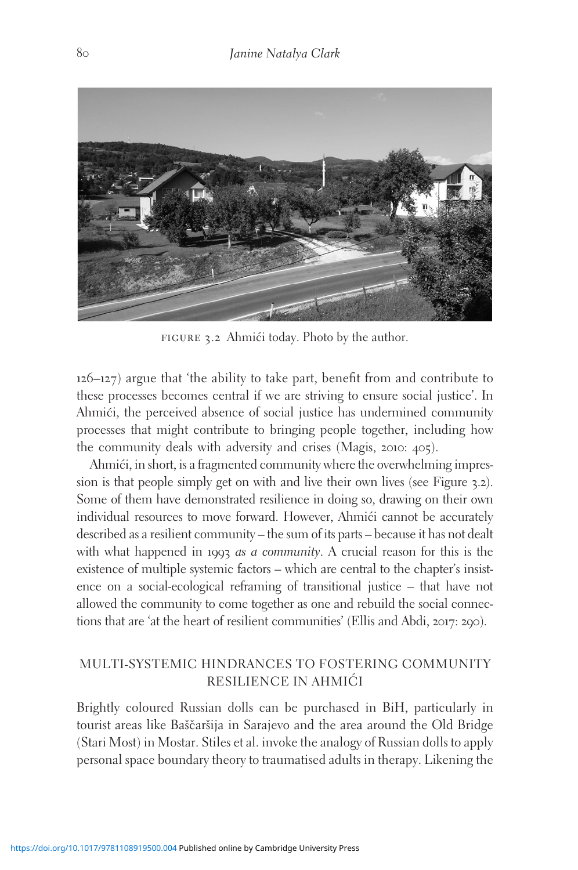

FIGURE 3.2 Ahmići today. Photo by the author.

126–127) argue that 'the ability to take part, benefit from and contribute to these processes becomes central if we are striving to ensure social justice'. In Ahmići, the perceived absence of social justice has undermined community processes that might contribute to bringing people together, including how the community deals with adversity and crises (Magis, 2010: 405).

Ahmići, in short, is a fragmented community where the overwhelming impression is that people simply get on with and live their own lives (see Figure 3.2). Some of them have demonstrated resilience in doing so, drawing on their own individual resources to move forward. However, Ahmic $i$  cannot be accurately described as a resilient community – the sum of its parts – because it has not dealt with what happened in 1993 *as a community*. A crucial reason for this is the existence of multiple systemic factors – which are central to the chapter's insistence on a social-ecological reframing of transitional justice – that have not allowed the community to come together as one and rebuild the social connections that are 'at the heart of resilient communities' (Ellis and Abdi, 2017: 290).

## MULTI-SYSTEMIC HINDRANCES TO FOSTERING COMMUNITY RESILIENCE IN AHMIĆI

Brightly coloured Russian dolls can be purchased in BiH, particularly in tourist areas like Baščaršija in Sarajevo and the area around the Old Bridge (Stari Most) in Mostar. Stiles et al. invoke the analogy of Russian dolls to apply personal space boundary theory to traumatised adults in therapy. Likening the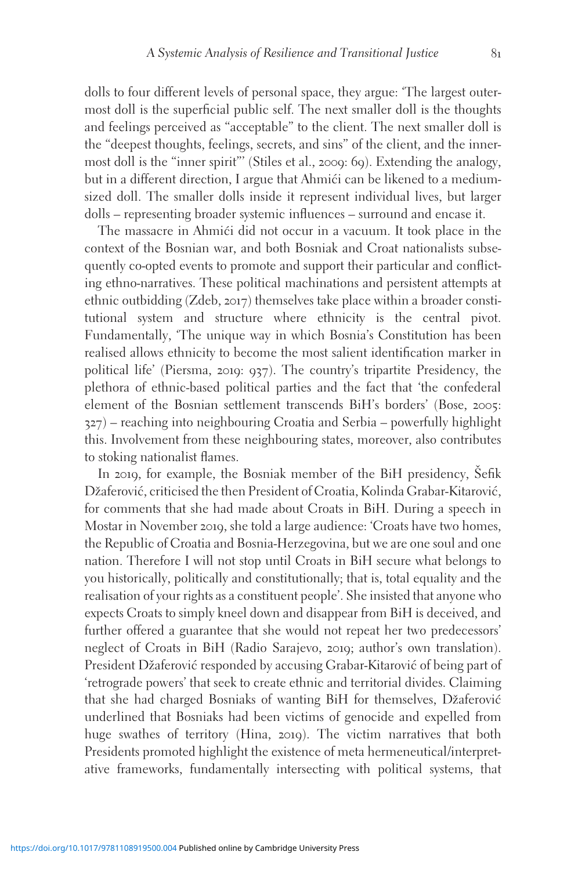dolls to four different levels of personal space, they argue: 'The largest outermost doll is the superficial public self. The next smaller doll is the thoughts and feelings perceived as "acceptable" to the client. The next smaller doll is the "deepest thoughts, feelings, secrets, and sins" of the client, and the innermost doll is the "inner spirit"' (Stiles et al., 2009: 69). Extending the analogy, but in a different direction, I argue that Ahmići can be likened to a mediumsized doll. The smaller dolls inside it represent individual lives, but larger dolls – representing broader systemic influences – surround and encase it.

The massacre in Ahmići did not occur in a vacuum. It took place in the context of the Bosnian war, and both Bosniak and Croat nationalists subsequently co-opted events to promote and support their particular and conflicting ethno-narratives. These political machinations and persistent attempts at ethnic outbidding (Zdeb, 2017) themselves take place within a broader constitutional system and structure where ethnicity is the central pivot. Fundamentally, 'The unique way in which Bosnia's Constitution has been realised allows ethnicity to become the most salient identification marker in political life' (Piersma, 2019: 937). The country's tripartite Presidency, the plethora of ethnic-based political parties and the fact that 'the confederal element of the Bosnian settlement transcends BiH's borders' (Bose, 2005: 327) – reaching into neighbouring Croatia and Serbia – powerfully highlight this. Involvement from these neighbouring states, moreover, also contributes to stoking nationalist flames.

In 2019, for example, the Bosniak member of the BiH presidency, Sefik Džaferović, criticised the then President of Croatia, Kolinda Grabar-Kitarović, for comments that she had made about Croats in BiH. During a speech in Mostar in November 2019, she told a large audience: 'Croats have two homes, the Republic of Croatia and Bosnia-Herzegovina, but we are one soul and one nation. Therefore I will not stop until Croats in BiH secure what belongs to you historically, politically and constitutionally; that is, total equality and the realisation of your rights as a constituent people'. She insisted that anyone who expects Croats to simply kneel down and disappear from BiH is deceived, and further offered a guarantee that she would not repeat her two predecessors' neglect of Croats in BiH (Radio Sarajevo, 2019; author's own translation). President Džaferović responded by accusing Grabar-Kitarović of being part of 'retrograde powers' that seek to create ethnic and territorial divides. Claiming that she had charged Bosniaks of wanting BiH for themselves, Džaferović underlined that Bosniaks had been victims of genocide and expelled from huge swathes of territory (Hina, 2019). The victim narratives that both Presidents promoted highlight the existence of meta hermeneutical/interpretative frameworks, fundamentally intersecting with political systems, that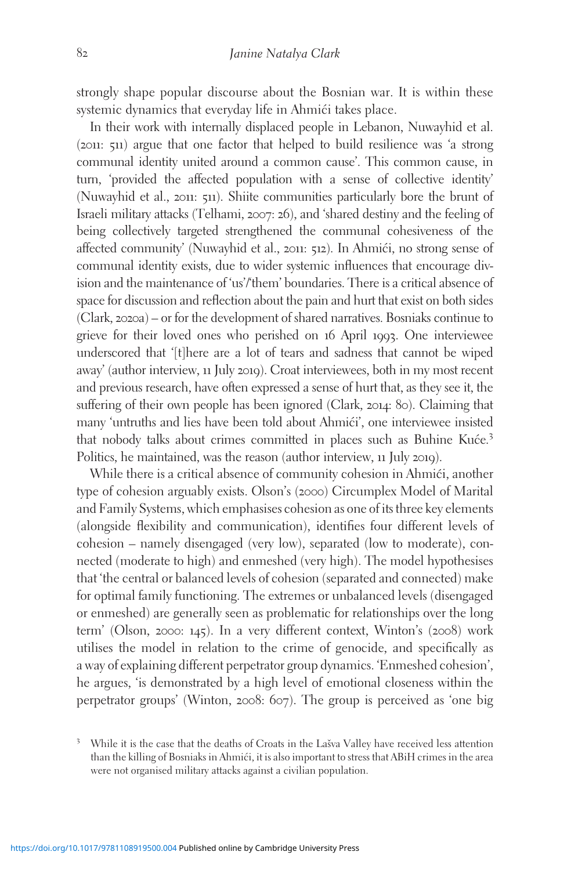strongly shape popular discourse about the Bosnian war. It is within these systemic dynamics that everyday life in Ahmići takes place.

In their work with internally displaced people in Lebanon, Nuwayhid et al. (2011: 511) argue that one factor that helped to build resilience was 'a strong communal identity united around a common cause'. This common cause, in turn, 'provided the affected population with a sense of collective identity' (Nuwayhid et al., 2011: 511). Shiite communities particularly bore the brunt of Israeli military attacks (Telhami, 2007: 26), and 'shared destiny and the feeling of being collectively targeted strengthened the communal cohesiveness of the affected community' (Nuwayhid et al., 2011: 512). In Ahmići, no strong sense of communal identity exists, due to wider systemic influences that encourage division and the maintenance of 'us'/'them' boundaries. There is a critical absence of space for discussion and reflection about the pain and hurt that exist on both sides (Clark, 2020a) – or for the development of shared narratives. Bosniaks continue to grieve for their loved ones who perished on 16 April 1993. One interviewee underscored that '[t]here are a lot of tears and sadness that cannot be wiped away' (author interview, 11 July 2019). Croat interviewees, both in my most recent and previous research, have often expressed a sense of hurt that, as they see it, the suffering of their own people has been ignored (Clark, 2014: 80). Claiming that many 'untruths and lies have been told about Ahmići', one interviewee insisted that nobody talks about crimes committed in places such as Buhine Kuće.<sup>3</sup> Politics, he maintained, was the reason (author interview, 11 July 2019).

While there is a critical absence of community cohesion in Ahmići, another type of cohesion arguably exists. Olson's (2000) Circumplex Model of Marital and Family Systems, which emphasises cohesion as one of its three key elements (alongside flexibility and communication), identifies four different levels of cohesion – namely disengaged (very low), separated (low to moderate), connected (moderate to high) and enmeshed (very high). The model hypothesises that 'the central or balanced levels of cohesion (separated and connected) make for optimal family functioning. The extremes or unbalanced levels (disengaged or enmeshed) are generally seen as problematic for relationships over the long term' (Olson, 2000: 145). In a very different context, Winton's (2008) work utilises the model in relation to the crime of genocide, and specifically as a way of explaining different perpetrator group dynamics. 'Enmeshed cohesion', he argues, 'is demonstrated by a high level of emotional closeness within the perpetrator groups' (Winton, 2008: 607). The group is perceived as 'one big

<sup>&</sup>lt;sup>3</sup> While it is the case that the deaths of Croats in the Lašva Valley have received less attention than the killing of Bosniaks in Ahmići, it is also important to stress that ABiH crimes in the area were not organised military attacks against a civilian population.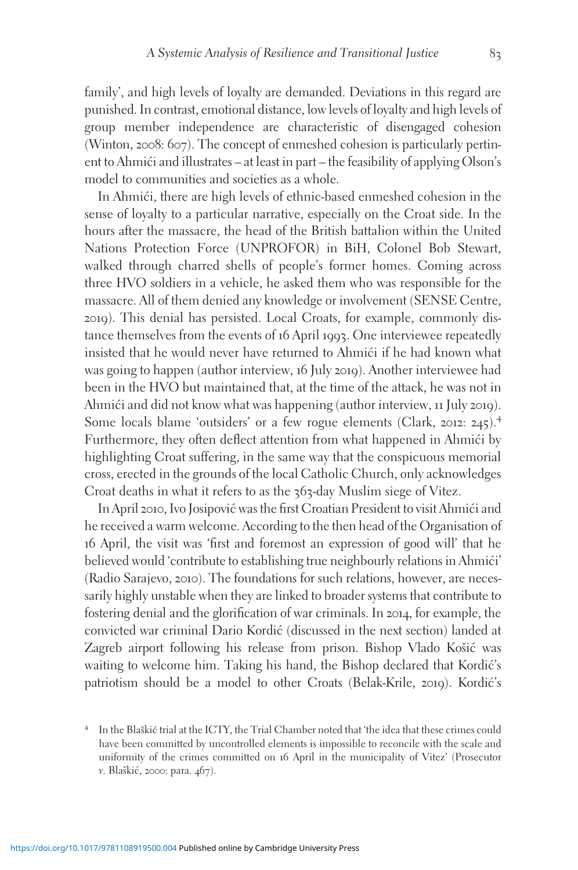family', and high levels of loyalty are demanded. Deviations in this regard are punished. In contrast, emotional distance, low levels of loyalty and high levels of group member independence are characteristic of disengaged cohesion (Winton, 2008: 607). The concept of enmeshed cohesion is particularly pertinent to Ahmići and illustrates – at least in part – the feasibility of applying Olson's model to communities and societies as a whole.

In Ahmići, there are high levels of ethnic-based enmeshed cohesion in the sense of loyalty to a particular narrative, especially on the Croat side. In the hours after the massacre, the head of the British battalion within the United Nations Protection Force (UNPROFOR) in BiH, Colonel Bob Stewart, walked through charred shells of people's former homes. Coming across three HVO soldiers in a vehicle, he asked them who was responsible for the massacre. All of them denied any knowledge or involvement (SENSE Centre, 2019). This denial has persisted. Local Croats, for example, commonly distance themselves from the events of 16 April 1993. One interviewee repeatedly insisted that he would never have returned to Ahmići if he had known what was going to happen (author interview, 16 July 2019). Another interviewee had been in the HVO but maintained that, at the time of the attack, he was not in Ahmići and did not know what was happening (author interview, 11 July 2019). Some locals blame 'outsiders' or a few rogue elements (Clark, <sup>2012</sup>: <sup>245</sup>).<sup>4</sup> Furthermore, they often deflect attention from what happened in Ahmići by highlighting Croat suffering, in the same way that the conspicuous memorial cross, erected in the grounds of the local Catholic Church, only acknowledges Croat deaths in what it refers to as the 363-day Muslim siege of Vitez.

In April 2010, Ivo Josipović was the first Croatian President to visit Ahmići and he received a warm welcome. According to the then head of the Organisation of 16 April, the visit was 'first and foremost an expression of good will' that he believed would 'contribute to establishing true neighbourly relations in Ahmići' (Radio Sarajevo, 2010). The foundations for such relations, however, are necessarily highly unstable when they are linked to broader systems that contribute to fostering denial and the glorification of war criminals. In 2014, for example, the convicted war criminal Dario Kordic´ (discussed in the next section) landed at Zagreb airport following his release from prison. Bishop Vlado Košić was waiting to welcome him. Taking his hand, the Bishop declared that Kordić's patriotism should be a model to other Croats (Belak-Krile, 2019). Kordić's

<sup>&</sup>lt;sup>4</sup> In the Blaškić trial at the ICTY, the Trial Chamber noted that 'the idea that these crimes could have been committed by uncontrolled elements is impossible to reconcile with the scale and uniformity of the crimes committed on 16 April in the municipality of Vitez' (Prosecutor v. Blaškić, 2000: para. 467).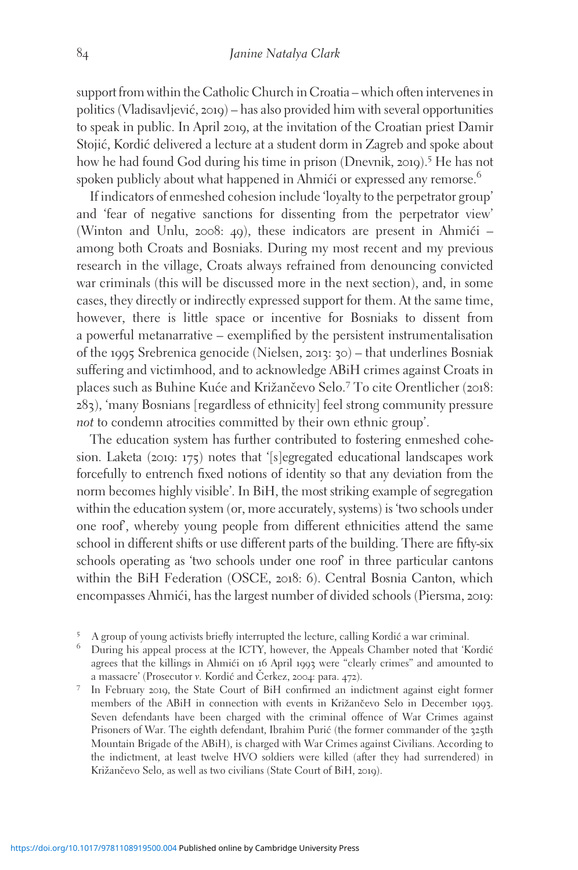support from within the Catholic Church in Croatia – which often intervenes in politics (Vladisavljevic´, 2019) – has also provided him with several opportunities to speak in public. In April 2019, at the invitation of the Croatian priest Damir Stojić, Kordić delivered a lecture at a student dorm in Zagreb and spoke about how he had found God during his time in prison (Dnevnik, 2019).<sup>5</sup> He has not spoken publicly about what happened in Ahmići or expressed any remorse.<sup>6</sup>

If indicators of enmeshed cohesion include 'loyalty to the perpetrator group' and 'fear of negative sanctions for dissenting from the perpetrator view' (Winton and Unlu, 2008: 49), these indicators are present in Ahmic $i$  – among both Croats and Bosniaks. During my most recent and my previous research in the village, Croats always refrained from denouncing convicted war criminals (this will be discussed more in the next section), and, in some cases, they directly or indirectly expressed support for them. At the same time, however, there is little space or incentive for Bosniaks to dissent from a powerful metanarrative – exemplified by the persistent instrumentalisation of the 1995 Srebrenica genocide (Nielsen, 2013: 30) – that underlines Bosniak suffering and victimhood, and to acknowledge ABiH crimes against Croats in places such as Buhine Kuće and Križančevo Selo.<sup>7</sup> To cite Orentlicher (2018: 283), 'many Bosnians [regardless of ethnicity] feel strong community pressure not to condemn atrocities committed by their own ethnic group'.

The education system has further contributed to fostering enmeshed cohesion. Laketa (2019: 175) notes that '[s]egregated educational landscapes work forcefully to entrench fixed notions of identity so that any deviation from the norm becomes highly visible'. In BiH, the most striking example of segregation within the education system (or, more accurately, systems) is 'two schools under one roof', whereby young people from different ethnicities attend the same school in different shifts or use different parts of the building. There are fifty-six schools operating as 'two schools under one roof' in three particular cantons within the BiH Federation (OSCE, 2018: 6). Central Bosnia Canton, which encompasses Ahmići, has the largest number of divided schools (Piersma, 2019:

- $^5$  A group of young activists briefly interrupted the lecture, calling Kordić a war criminal.  $^6$  During his appeal process at the ICTY, however, the Appeals Chamber noted that 'Kordić agrees that the killings in Ahmic´i on 16 April 1993 were "clearly crimes" and amounted to a massacre' (Prosecutor v. Kordić and Čerkez, 2004: para. 472).
- <sup>7</sup> In February 2019, the State Court of BiH confirmed an indictment against eight former members of the ABiH in connection with events in Križančevo Selo in December 1993. Seven defendants have been charged with the criminal offence of War Crimes against Prisoners of War. The eighth defendant, Ibrahim Purić (the former commander of the 325th Mountain Brigade of the ABiH), is charged with War Crimes against Civilians. According to the indictment, at least twelve HVO soldiers were killed (after they had surrendered) in Križančevo Selo, as well as two civilians (State Court of BiH, 2019).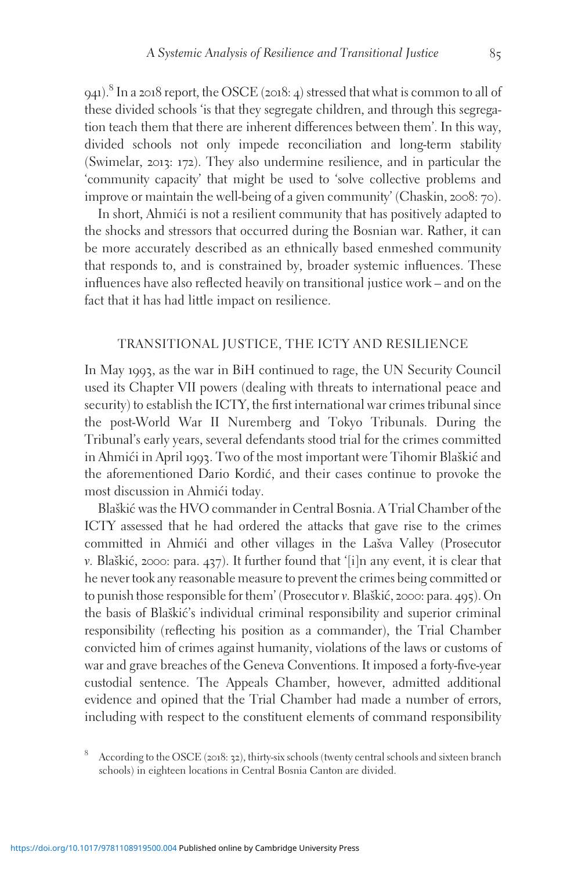941).<sup>8</sup> In a 2018 report, the OSCE (2018: 4) stressed that what is common to all of these divided schools 'is that they segregate children, and through this segregation teach them that there are inherent differences between them'. In this way, divided schools not only impede reconciliation and long-term stability (Swimelar, 2013: 172). They also undermine resilience, and in particular the 'community capacity' that might be used to 'solve collective problems and improve or maintain the well-being of a given community' (Chaskin, 2008: 70).

In short, Ahmići is not a resilient community that has positively adapted to the shocks and stressors that occurred during the Bosnian war. Rather, it can be more accurately described as an ethnically based enmeshed community that responds to, and is constrained by, broader systemic influences. These influences have also reflected heavily on transitional justice work – and on the fact that it has had little impact on resilience.

### TRANSITIONAL JUSTICE, THE ICTY AND RESILIENCE

In May 1993, as the war in BiH continued to rage, the UN Security Council used its Chapter VII powers (dealing with threats to international peace and security) to establish the ICTY, the first international war crimes tribunal since the post-World War II Nuremberg and Tokyo Tribunals. During the Tribunal's early years, several defendants stood trial for the crimes committed in Ahmići in April 1993. Two of the most important were Tihomir Blaškić and the aforementioned Dario Kordic´, and their cases continue to provoke the most discussion in Ahmići today.

Blaškić was the HVO commander in Central Bosnia. A Trial Chamber of the ICTY assessed that he had ordered the attacks that gave rise to the crimes committed in Ahmići and other villages in the Lašva Valley (Prosecutor  $v.$  Blaškić, 2000: para. 437). It further found that '[i]n any event, it is clear that he never took any reasonable measure to prevent the crimes being committed or to punish those responsible for them' (Prosecutor v. Blaškić, 2000: para. 495). On the basis of Blaškić's individual criminal responsibility and superior criminal responsibility (reflecting his position as a commander), the Trial Chamber convicted him of crimes against humanity, violations of the laws or customs of war and grave breaches of the Geneva Conventions. It imposed a forty-five-year custodial sentence. The Appeals Chamber, however, admitted additional evidence and opined that the Trial Chamber had made a number of errors, including with respect to the constituent elements of command responsibility

<sup>8</sup> According to the OSCE (2018: <sup>32</sup>), thirty-six schools (twenty central schools and sixteen branch schools) in eighteen locations in Central Bosnia Canton are divided.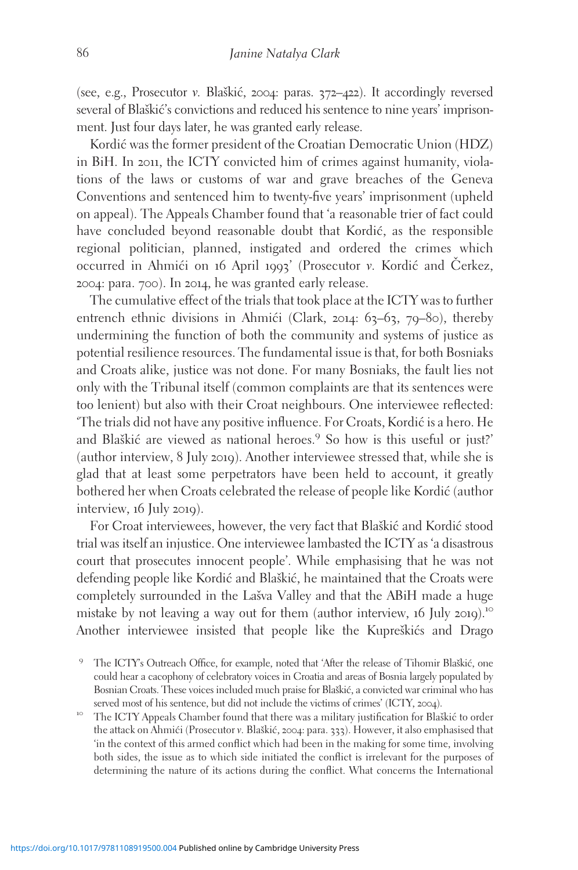(see, e.g., Prosecutor v. Blaškić, 2004: paras.  $372-422$ ). It accordingly reversed several of Blaškić's convictions and reduced his sentence to nine years' imprisonment. Just four days later, he was granted early release.

Kordić was the former president of the Croatian Democratic Union (HDZ) in BiH. In 2011, the ICTY convicted him of crimes against humanity, violations of the laws or customs of war and grave breaches of the Geneva Conventions and sentenced him to twenty-five years' imprisonment (upheld on appeal). The Appeals Chamber found that 'a reasonable trier of fact could have concluded beyond reasonable doubt that Kordić, as the responsible regional politician, planned, instigated and ordered the crimes which occurred in Ahmići on 16 April 1993' (Prosecutor v. Kordić and Cerkez, 2004: para. 700). In 2014, he was granted early release.

The cumulative effect of the trials that took place at the ICTY was to further entrench ethnic divisions in Ahmići (Clark, 2014: 63–63, 79–80), thereby undermining the function of both the community and systems of justice as potential resilience resources. The fundamental issue is that, for both Bosniaks and Croats alike, justice was not done. For many Bosniaks, the fault lies not only with the Tribunal itself (common complaints are that its sentences were too lenient) but also with their Croat neighbours. One interviewee reflected: 'The trials did not have any positive influence. For Croats, Kordic´ is a hero. He and Blaškić are viewed as national heroes.<sup>9</sup> So how is this useful or just?' (author interview, 8 July 2019). Another interviewee stressed that, while she is glad that at least some perpetrators have been held to account, it greatly bothered her when Croats celebrated the release of people like Kordic´ (author interview, 16 July 2019).

For Croat interviewees, however, the very fact that Blaškić and Kordić stood trial was itself an injustice. One interviewee lambasted the ICTY as 'a disastrous court that prosecutes innocent people'. While emphasising that he was not defending people like Kordić and Blaškić, he maintained that the Croats were completely surrounded in the Lašva Valley and that the ABiH made a huge mistake by not leaving a way out for them (author interview, 16 July 2019).<sup>10</sup> Another interviewee insisted that people like the Kupreškićs and Drago

served most of his sentence, but did not include the victims of crimes' (ICTY, 2004).<br><sup>10</sup> The ICTY Appeals Chamber found that there was a military justification for Blaškić to order the attack on Ahmići (Prosecutor v. Blaškić, 2004: para. 333). However, it also emphasised that 'in the context of this armed conflict which had been in the making for some time, involving both sides, the issue as to which side initiated the conflict is irrelevant for the purposes of determining the nature of its actions during the conflict. What concerns the International

<sup>&</sup>lt;sup>9</sup> The ICTY's Outreach Office, for example, noted that 'After the release of Tihomir Blaškić, one could hear a cacophony of celebratory voices in Croatia and areas of Bosnia largely populated by Bosnian Croats. These voices included much praise for Blaškić, a convicted war criminal who has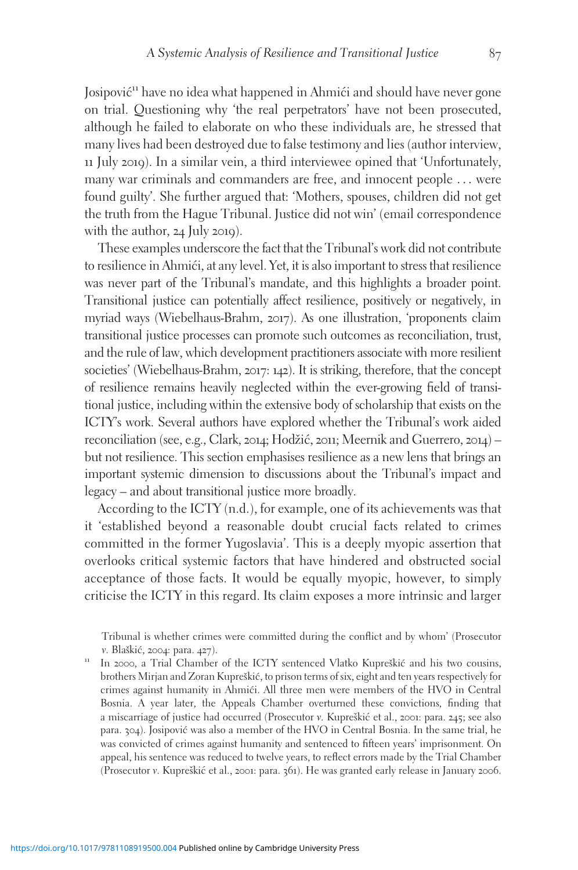Josipović<sup>11</sup> have no idea what happened in Ahmići and should have never gone on trial. Questioning why 'the real perpetrators' have not been prosecuted, although he failed to elaborate on who these individuals are, he stressed that many lives had been destroyed due to false testimony and lies (author interview, 11 July 2019). In a similar vein, a third interviewee opined that 'Unfortunately, many war criminals and commanders are free, and innocent people ... were found guilty'. She further argued that: 'Mothers, spouses, children did not get the truth from the Hague Tribunal. Justice did not win' (email correspondence with the author, 24 July 2019).

These examples underscore the fact that the Tribunal's work did not contribute to resilience in Ahmići, at any level. Yet, it is also important to stress that resilience was never part of the Tribunal's mandate, and this highlights a broader point. Transitional justice can potentially affect resilience, positively or negatively, in myriad ways (Wiebelhaus-Brahm, 2017). As one illustration, 'proponents claim transitional justice processes can promote such outcomes as reconciliation, trust, and the rule of law, which development practitioners associate with more resilient societies' (Wiebelhaus-Brahm, 2017: 142). It is striking, therefore, that the concept of resilience remains heavily neglected within the ever-growing field of transitional justice, including within the extensive body of scholarship that exists on the ICTY's work. Several authors have explored whether the Tribunal's work aided reconciliation (see, e.g., Clark, 2014; Hodžić, 2011; Meernik and Guerrero, 2014) – but not resilience. This section emphasises resilience as a new lens that brings an important systemic dimension to discussions about the Tribunal's impact and legacy – and about transitional justice more broadly.

According to the ICTY (n.d.), for example, one of its achievements was that it 'established beyond a reasonable doubt crucial facts related to crimes committed in the former Yugoslavia'. This is a deeply myopic assertion that overlooks critical systemic factors that have hindered and obstructed social acceptance of those facts. It would be equally myopic, however, to simply criticise the ICTY in this regard. Its claim exposes a more intrinsic and larger

Tribunal is whether crimes were committed during the conflict and by whom' (Prosecutor v. Blaškić, 2004: para. 427).<br>In 2000, a Trial Chamber of the ICTY sentenced Vlatko Kupreškić and his two cousins,

brothers Mirjan and Zoran Kupreškić, to prison terms of six, eight and ten years respectively for crimes against humanity in Ahmici. All three men were members of the HVO in Central Bosnia. A year later, the Appeals Chamber overturned these convictions, finding that a miscarriage of justice had occurred (Prosecutor v. Kupreškić et al., 2001: para. 245; see also para.  $304$ ). Josipović was also a member of the HVO in Central Bosnia. In the same trial, he was convicted of crimes against humanity and sentenced to fifteen years' imprisonment. On appeal, his sentence was reduced to twelve years, to reflect errors made by the Trial Chamber (Prosecutor v. Kupreškić et al., 2001: para. 361). He was granted early release in January 2006.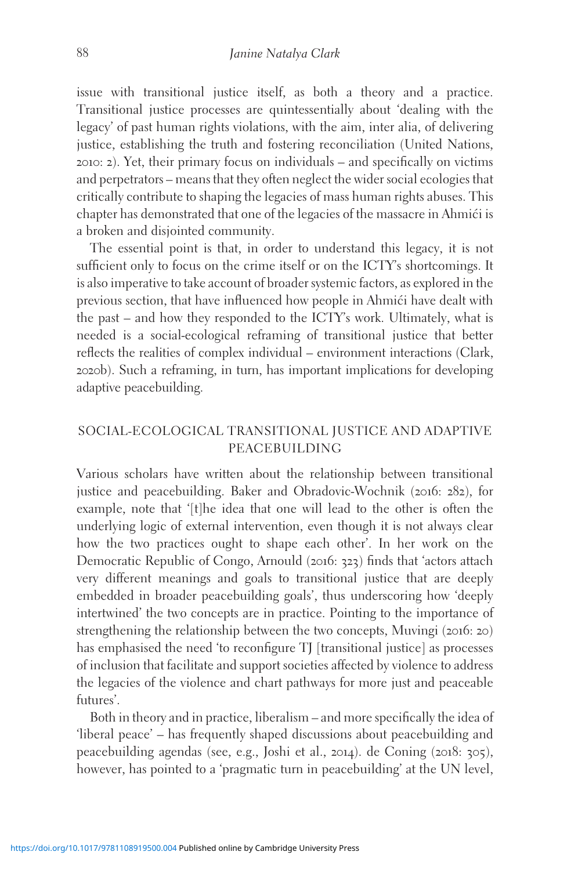issue with transitional justice itself, as both a theory and a practice. Transitional justice processes are quintessentially about 'dealing with the legacy' of past human rights violations, with the aim, inter alia, of delivering justice, establishing the truth and fostering reconciliation (United Nations, 2010: 2). Yet, their primary focus on individuals – and specifically on victims and perpetrators – means that they often neglect the wider social ecologies that critically contribute to shaping the legacies of mass human rights abuses. This chapter has demonstrated that one of the legacies of the massacre in Ahmići is a broken and disjointed community.

The essential point is that, in order to understand this legacy, it is not sufficient only to focus on the crime itself or on the ICTY's shortcomings. It is also imperative to take account of broader systemic factors, as explored in the previous section, that have influenced how people in Ahmići have dealt with the past – and how they responded to the ICTY's work. Ultimately, what is needed is a social-ecological reframing of transitional justice that better reflects the realities of complex individual – environment interactions (Clark, 2020b). Such a reframing, in turn, has important implications for developing adaptive peacebuilding.

### SOCIAL-ECOLOGICAL TRANSITIONAL JUSTICE AND ADAPTIVE PEACEBUILDING

Various scholars have written about the relationship between transitional justice and peacebuilding. Baker and Obradovic-Wochnik (2016: 282), for example, note that '[t]he idea that one will lead to the other is often the underlying logic of external intervention, even though it is not always clear how the two practices ought to shape each other'. In her work on the Democratic Republic of Congo, Arnould (2016: 323) finds that 'actors attach very different meanings and goals to transitional justice that are deeply embedded in broader peacebuilding goals', thus underscoring how 'deeply intertwined' the two concepts are in practice. Pointing to the importance of strengthening the relationship between the two concepts, Muvingi (2016: 20) has emphasised the need 'to reconfigure TJ [transitional justice] as processes of inclusion that facilitate and support societies affected by violence to address the legacies of the violence and chart pathways for more just and peaceable futures'.

Both in theory and in practice, liberalism – and more specifically the idea of 'liberal peace' – has frequently shaped discussions about peacebuilding and peacebuilding agendas (see, e.g., Joshi et al., 2014). de Coning (2018: 305), however, has pointed to a 'pragmatic turn in peacebuilding' at the UN level,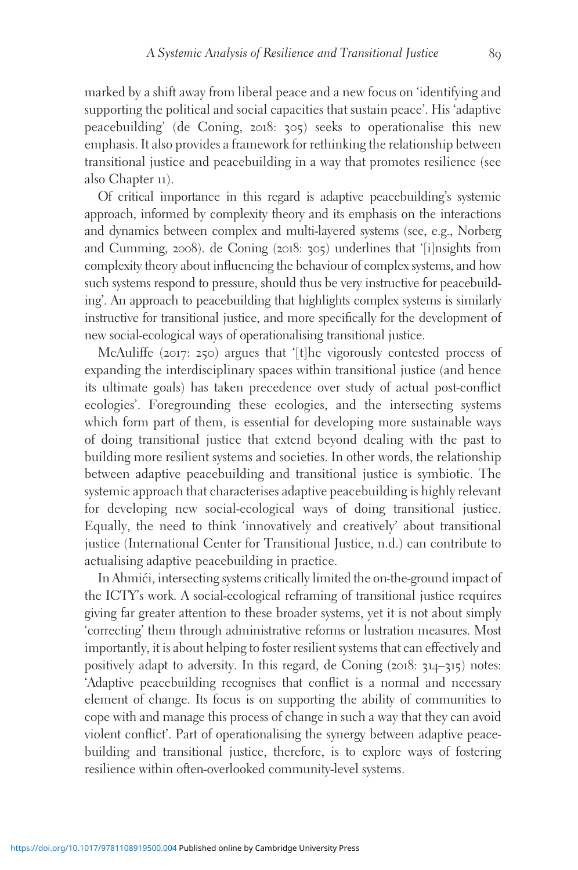marked by a shift away from liberal peace and a new focus on 'identifying and supporting the political and social capacities that sustain peace'. His 'adaptive peacebuilding' (de Coning, 2018: 305) seeks to operationalise this new emphasis. It also provides a framework for rethinking the relationship between transitional justice and peacebuilding in a way that promotes resilience (see also Chapter 11).

Of critical importance in this regard is adaptive peacebuilding's systemic approach, informed by complexity theory and its emphasis on the interactions and dynamics between complex and multi-layered systems (see, e.g., Norberg and Cumming, 2008). de Coning (2018: 305) underlines that '[i]nsights from complexity theory about influencing the behaviour of complex systems, and how such systems respond to pressure, should thus be very instructive for peacebuilding'. An approach to peacebuilding that highlights complex systems is similarly instructive for transitional justice, and more specifically for the development of new social-ecological ways of operationalising transitional justice.

McAuliffe (2017: 250) argues that '[t]he vigorously contested process of expanding the interdisciplinary spaces within transitional justice (and hence its ultimate goals) has taken precedence over study of actual post-conflict ecologies'. Foregrounding these ecologies, and the intersecting systems which form part of them, is essential for developing more sustainable ways of doing transitional justice that extend beyond dealing with the past to building more resilient systems and societies. In other words, the relationship between adaptive peacebuilding and transitional justice is symbiotic. The systemic approach that characterises adaptive peacebuilding is highly relevant for developing new social-ecological ways of doing transitional justice. Equally, the need to think 'innovatively and creatively' about transitional justice (International Center for Transitional Justice, n.d.) can contribute to actualising adaptive peacebuilding in practice.

In Ahmići, intersecting systems critically limited the on-the-ground impact of the ICTY's work. A social-ecological reframing of transitional justice requires giving far greater attention to these broader systems, yet it is not about simply 'correcting' them through administrative reforms or lustration measures. Most importantly, it is about helping to foster resilient systems that can effectively and positively adapt to adversity. In this regard, de Coning (2018: 314–315) notes: 'Adaptive peacebuilding recognises that conflict is a normal and necessary element of change. Its focus is on supporting the ability of communities to cope with and manage this process of change in such a way that they can avoid violent conflict'. Part of operationalising the synergy between adaptive peacebuilding and transitional justice, therefore, is to explore ways of fostering resilience within often-overlooked community-level systems.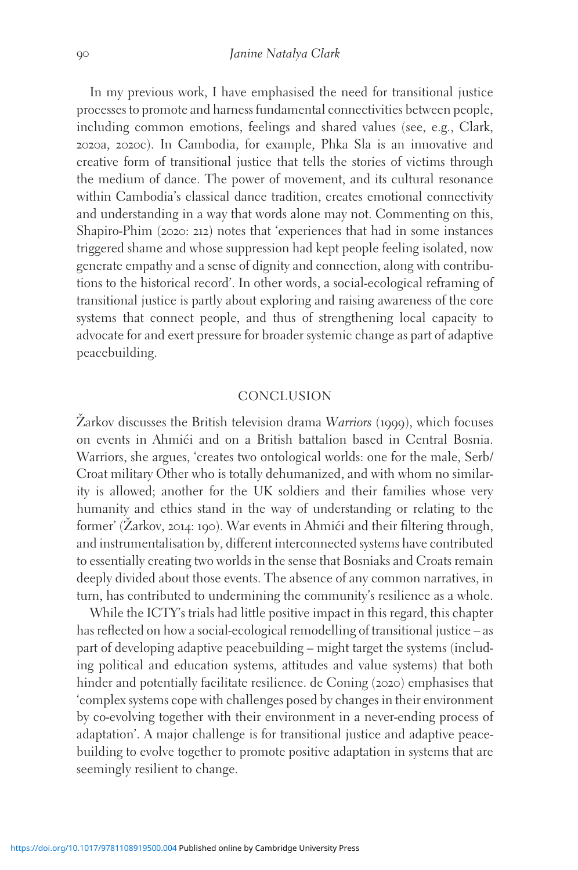In my previous work, I have emphasised the need for transitional justice processes to promote and harness fundamental connectivities between people, including common emotions, feelings and shared values (see, e.g., Clark, 2020a, 2020c). In Cambodia, for example, Phka Sla is an innovative and creative form of transitional justice that tells the stories of victims through the medium of dance. The power of movement, and its cultural resonance within Cambodia's classical dance tradition, creates emotional connectivity and understanding in a way that words alone may not. Commenting on this, Shapiro-Phim (2020: 212) notes that 'experiences that had in some instances triggered shame and whose suppression had kept people feeling isolated, now generate empathy and a sense of dignity and connection, along with contributions to the historical record'. In other words, a social-ecological reframing of transitional justice is partly about exploring and raising awareness of the core systems that connect people, and thus of strengthening local capacity to advocate for and exert pressure for broader systemic change as part of adaptive peacebuilding.

#### CONCLUSION

 $\check{Z}$ arkov discusses the British television drama Warriors (1999), which focuses on events in Ahmici and on a British battalion based in Central Bosnia. Warriors, she argues, 'creates two ontological worlds: one for the male, Serb/ Croat military Other who is totally dehumanized, and with whom no similarity is allowed; another for the UK soldiers and their families whose very humanity and ethics stand in the way of understanding or relating to the former' (Zarkov, 2014: 190). War events in Ahmići and their filtering through, and instrumentalisation by, different interconnected systems have contributed to essentially creating two worlds in the sense that Bosniaks and Croats remain deeply divided about those events. The absence of any common narratives, in turn, has contributed to undermining the community's resilience as a whole.

While the ICTY's trials had little positive impact in this regard, this chapter has reflected on how a social-ecological remodelling of transitional justice – as part of developing adaptive peacebuilding – might target the systems (including political and education systems, attitudes and value systems) that both hinder and potentially facilitate resilience. de Coning (2020) emphasises that 'complex systems cope with challenges posed by changes in their environment by co-evolving together with their environment in a never-ending process of adaptation'. A major challenge is for transitional justice and adaptive peacebuilding to evolve together to promote positive adaptation in systems that are seemingly resilient to change.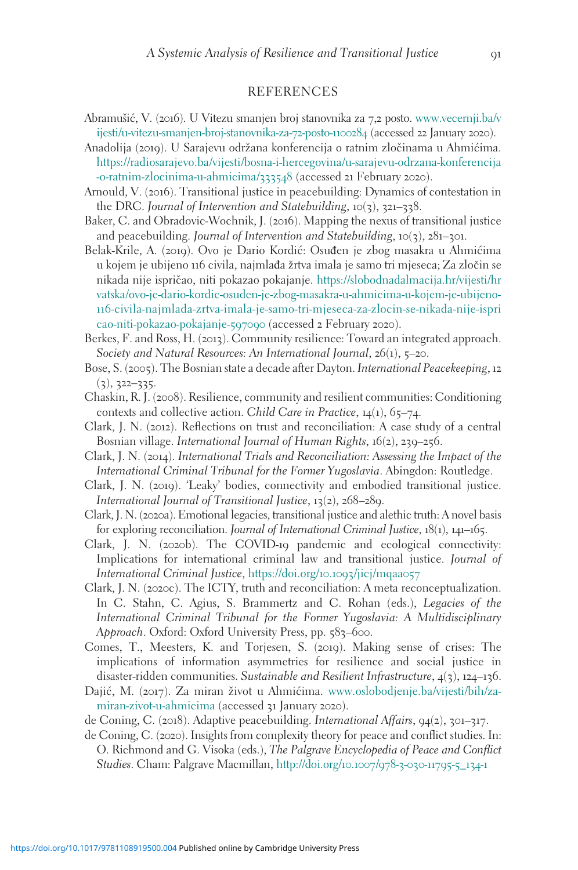#### REFERENCES

- Abramušić, V. (2016). U Vitezu smanjen broj stanovnika za 7,2 posto. [www.vecernji.ba/v](http://www.vecernji.ba/vijesti/u-vitezu-smanjen-broj-stanovnika-za-72-posto-1100284) [ijesti/u-vitezu-smanjen-broj-stanovnika-za-](http://www.vecernji.ba/vijesti/u-vitezu-smanjen-broj-stanovnika-za-72-posto-1100284)72-posto-1100284 (accessed 22 January 2020).
- Anadolija (2019). U Sarajevu održana konferencija o ratnim zločinama u Ahmićima. [https://radiosarajevo.ba/vijesti/bosna-i-hercegovina/u-sarajevu-odrzana-konferencija](https://radiosarajevo.ba/vijesti/bosna-i-hercegovina/u-sarajevu-odrzana-konferencija-o-ratnim-zlocinima-u-ahmicima/333548) [-o-ratnim-zlocinima-u-ahmicima/](https://radiosarajevo.ba/vijesti/bosna-i-hercegovina/u-sarajevu-odrzana-konferencija-o-ratnim-zlocinima-u-ahmicima/333548)333548 (accessed 21 February 2020).
- Arnould, V. (2016). Transitional justice in peacebuilding: Dynamics of contestation in the DRC. Journal of Intervention and Statebuilding,  $10(3)$ ,  $321-338$ .
- Baker, C. and Obradovic-Wochnik, J. (2016). Mapping the nexus of transitional justice and peacebuilding. Journal of Intervention and Statebuilding,  $10(3)$ ,  $281-301$ .
- Belak-Krile, A. (2019). Ovo je Dario Kordić: Osuđen je zbog masakra u Ahmićima u kojem je ubijeno 116 civila, najmlađa žrtva imala je samo tri mjeseca; Za zločin se nikada nije ispričao, niti pokazao pokajanje. [https://slobodnadalmacija.hr/vijesti/hr](https://slobodnadalmacija.hr/vijesti/hrvatska/ovo-je-dario-kordic-osuden-je-zbog-masakra-u-ahmicima-u-kojem-je-ubijeno-116-civila-najmlada-zrtva-imala-je-samo-tri-mjeseca-za-zlocin-se-nikada-nije-ispricao-niti-pokazao-pokajanje-597090) [vatska/ovo-je-dario-kordic-osuden-je-zbog-masakra-u-ahmicima-u-kojem-je-ubijeno-](https://slobodnadalmacija.hr/vijesti/hrvatska/ovo-je-dario-kordic-osuden-je-zbog-masakra-u-ahmicima-u-kojem-je-ubijeno-116-civila-najmlada-zrtva-imala-je-samo-tri-mjeseca-za-zlocin-se-nikada-nije-ispricao-niti-pokazao-pokajanje-597090)116[-civila-najmlada-zrtva-imala-je-samo-tri-mjeseca-za-zlocin-se-nikada-nije-ispri](https://slobodnadalmacija.hr/vijesti/hrvatska/ovo-je-dario-kordic-osuden-je-zbog-masakra-u-ahmicima-u-kojem-je-ubijeno-116-civila-najmlada-zrtva-imala-je-samo-tri-mjeseca-za-zlocin-se-nikada-nije-ispricao-niti-pokazao-pokajanje-597090) [cao-niti-pokazao-pokajanje-](https://slobodnadalmacija.hr/vijesti/hrvatska/ovo-je-dario-kordic-osuden-je-zbog-masakra-u-ahmicima-u-kojem-je-ubijeno-116-civila-najmlada-zrtva-imala-je-samo-tri-mjeseca-za-zlocin-se-nikada-nije-ispricao-niti-pokazao-pokajanje-597090)597090 (accessed 2 February 2020).
- Berkes, F. and Ross, H. (2013). Community resilience: Toward an integrated approach. Society and Natural Resources: An International Journal, 26(1), 5–20.
- Bose, S. (2005). The Bosnian state a decade after Dayton. International Peacekeeping, 12  $(3), 322 - 335.$
- Chaskin, R. J. (2008). Resilience, community and resilient communities: Conditioning contexts and collective action. Child Care in Practice,  $14(1)$ , 65-74.
- Clark, J. N. (2012). Reflections on trust and reconciliation: A case study of a central Bosnian village. International Journal of Human Rights, 16(2), 239–256.
- Clark, J. N. (2014). International Trials and Reconciliation: Assessing the Impact of the International Criminal Tribunal for the Former Yugoslavia. Abingdon: Routledge.
- Clark, J. N. (2019). 'Leaky' bodies, connectivity and embodied transitional justice. International Journal of Transitional Justice, 13(2), 268–289.
- Clark, J. N. (2020a). Emotional legacies, transitional justice and alethic truth: A novel basis for exploring reconciliation. Journal of International Criminal Justice, 18(1), 141–165.
- Clark, J. N. (2020b). The COVID-19 pandemic and ecological connectivity: Implications for international criminal law and transitional justice. Journal of International Criminal Justice, [https://doi.org/](https://doi.org/10.1093/jicj/mqaa057)10.1093/jicj/mqaa057
- Clark, J. N. (2020c). The ICTY, truth and reconciliation: A meta reconceptualization. In C. Stahn, C. Agius, S. Brammertz and C. Rohan (eds.), Legacies of the International Criminal Tribunal for the Former Yugoslavia: A Multidisciplinary Approach. Oxford: Oxford University Press, pp. 583-600.
- Comes, T., Meesters, K. and Torjesen, S. (2019). Making sense of crises: The implications of information asymmetries for resilience and social justice in disaster-ridden communities. Sustainable and Resilient Infrastructure, 4(3), 124–136.
- Dajić, M. (2017). Za miran život u Ahmićima. [www.oslobodjenje.ba/vijesti/bih/za](http://www.oslobodjenje.ba/vijesti/bih/za-miran-zivot-u-ahmicima)[miran-zivot-u-ahmicima](http://www.oslobodjenje.ba/vijesti/bih/za-miran-zivot-u-ahmicima) (accessed 31 January 2020).
- de Coning, C. (2018). Adaptive peacebuilding. International Affairs, 94(2), 301–317.
- de Coning, C. (2020). Insights from complexity theory for peace and conflict studies. In: O. Richmond and G. Visoka (eds.), The Palgrave Encyclopedia of Peace and Conflict Studies. Cham: Palgrave Macmillan, [http://doi.org/](http://doi.org/10.1007/978-3-030-11795-5%5F134-1)10.1007/978-3-030-11795-5\_134-1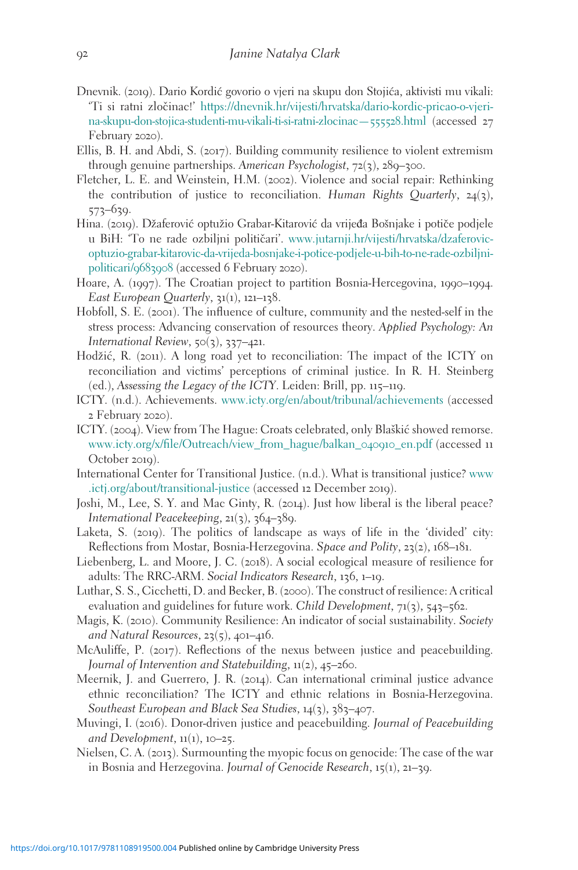- Dnevnik. (2019). Dario Kordic´ govorio o vjeri na skupu don Stojic´a, aktivisti mu vikali: 'Ti si ratni zlocˇinac!' [https://dnevnik.hr/vijesti/hrvatska/dario-kordic-pricao-o-vjeri](https://dnevnik.hr/vijesti/hrvatska/dario-kordic-pricao-o-vjeri-na-skupu-don-stojica-studenti-mu-vikali-ti-si-ratni-zlocinac---555528.html)[na-skupu-don-stojica-studenti-mu-vikali-ti-si-ratni-zlocinac—](https://dnevnik.hr/vijesti/hrvatska/dario-kordic-pricao-o-vjeri-na-skupu-don-stojica-studenti-mu-vikali-ti-si-ratni-zlocinac---555528.html)555528.html (accessed 27 February 2020).
- Ellis, B. H. and Abdi, S. (2017). Building community resilience to violent extremism through genuine partnerships. American Psychologist, 72(3), 289–300.
- Fletcher, L. E. and Weinstein, H.M. (2002). Violence and social repair: Rethinking the contribution of justice to reconciliation. Human Rights Quarterly,  $24(3)$ , 573–639.
- Hina. (2019). Džaferović optužio Grabar-Kitarović da vrijeđa Bošnjake i potiče podjele u BiH: 'To ne rade ozbiljni političari'. [www.jutarnji.hr/vijesti/hrvatska/dzaferovic](www.jutarnji.hr/vijesti/hrvatska/dzaferovic-optuzio-grabar-kitarovic-da-vrijeda-bosnjake-i-potice-podjele-u-bih-to-ne-rade-ozbiljni-politicari/9683908)[optuzio-grabar-kitarovic-da-vrijeda-bosnjake-i-potice-podjele-u-bih-to-ne-rade-ozbiljni](www.jutarnji.hr/vijesti/hrvatska/dzaferovic-optuzio-grabar-kitarovic-da-vrijeda-bosnjake-i-potice-podjele-u-bih-to-ne-rade-ozbiljni-politicari/9683908)[politicari/](www.jutarnji.hr/vijesti/hrvatska/dzaferovic-optuzio-grabar-kitarovic-da-vrijeda-bosnjake-i-potice-podjele-u-bih-to-ne-rade-ozbiljni-politicari/9683908)9683908 (accessed 6 February 2020).
- Hoare, A. (1997). The Croatian project to partition Bosnia-Hercegovina, 1990–1994. East European Quarterly, 31(1), 121–138.
- Hobfoll, S. E. (2001). The influence of culture, community and the nested-self in the stress process: Advancing conservation of resources theory. Applied Psychology: An International Review, 50(3), 337–421.
- Hodžić, R. (2011). A long road yet to reconciliation: The impact of the ICTY on reconciliation and victims' perceptions of criminal justice. In R. H. Steinberg (ed.), Assessing the Legacy of the ICTY. Leiden: Brill, pp. 115–119.
- ICTY. (n.d.). Achievements. [www.icty.org/en/about/tribunal/achievements](http://www.icty.org/en/about/tribunal/achievements) (accessed 2 February 2020).
- ICTY. (2004). View from The Hague: Croats celebrated, only Blaškić showed remorse. [www.icty.org/x/file/Outreach/view\\_from\\_hague/balkan\\_](http://www.icty.org/x/file/Outreach/view%5Ffrom%5Fhague/balkan%5F040910%5Fen.pdf)040910\_en.pdf (accessed 11 October 2019).
- International Center for Transitional Justice. (n.d.). What is transitional justice? [www](http://www.ictj.org/about/transitional-justice) [.ictj.org/about/transitional-justice](http://www.ictj.org/about/transitional-justice) (accessed 12 December 2019).
- Joshi, M., Lee, S. Y. and Mac Ginty, R. (2014). Just how liberal is the liberal peace? International Peacekeeping, 21(3), 364–389.
- Laketa, S. (2019). The politics of landscape as ways of life in the 'divided' city: Reflections from Mostar, Bosnia-Herzegovina. Space and Polity, 23(2), 168–181.
- Liebenberg, L. and Moore, J. C. (2018). A social ecological measure of resilience for adults: The RRC-ARM. Social Indicators Research, 136, 1–19.
- Luthar, S. S., Cicchetti, D. and Becker, B. (2000). The construct of resilience: A critical evaluation and guidelines for future work. Child Development, 71(3), 543-562.
- Magis, K. (2010). Community Resilience: An indicator of social sustainability. Society and Natural Resources, 23(5), 401–416.
- McAuliffe, P. (2017). Reflections of the nexus between justice and peacebuilding. Journal of Intervention and Statebuilding, 11(2), 45–260.
- Meernik, J. and Guerrero, J. R. (2014). Can international criminal justice advance ethnic reconciliation? The ICTY and ethnic relations in Bosnia-Herzegovina. Southeast European and Black Sea Studies, 14(3), 383–407.
- Muvingi, I. (2016). Donor-driven justice and peacebuilding. Journal of Peacebuilding and Development,  $11(1)$ ,  $10-25$ .
- Nielsen, C. A. (2013). Surmounting the myopic focus on genocide: The case of the war in Bosnia and Herzegovina. Journal of Genocide Research, 15(1), 21–39.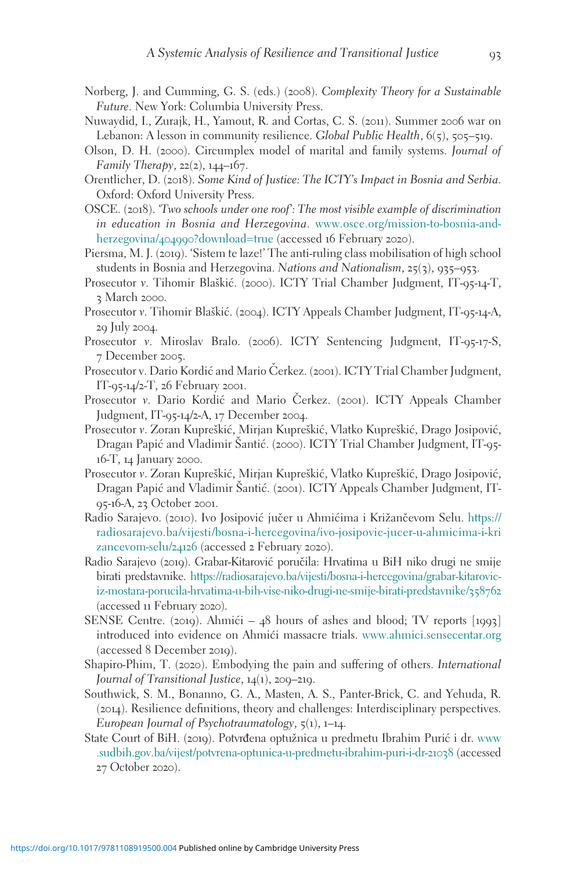- Norberg, J. and Cumming, G. S. (eds.) (2008). Complexity Theory for a Sustainable Future. New York: Columbia University Press.
- Nuwaydid, I., Zurajk, H., Yamout, R. and Cortas, C. S. (2011). Summer 2006 war on Lebanon: A lesson in community resilience. Global Public Health,  $6(5)$ ,  $505-519$ .
- Olson, D. H. (2000). Circumplex model of marital and family systems. Journal of Family Therapy,  $22(2)$ ,  $144-167$ .
- Orentlicher, D. (2018). Some Kind of Justice: The ICTY's Impact in Bosnia and Serbia. Oxford: Oxford University Press.
- OSCE. (2018). 'Two schools under one roof': The most visible example of discrimination in education in Bosnia and Herzegovina. [www.osce.org/mission-to-bosnia-and](http://www.osce.org/mission-to-bosnia-and-herzegovina/404990?download=true)herzegovina/404990[?download=true](http://www.osce.org/mission-to-bosnia-and-herzegovina/404990?download=true) (accessed 16 February 2020).
- Piersma, M. J. (2019). 'Sistem te laze!' The anti-ruling class mobilisation of high school students in Bosnia and Herzegovina. Nations and Nationalism, 25(3), 935–953.
- Prosecutor v. Tihomir Blaškić. (2000). ICTY Trial Chamber Judgment, IT-95-14-T, 3 March 2000.
- Prosecutor v. Tihomir Blaškić. (2004). ICTY Appeals Chamber Judgment, IT-95-14-A, 29 July 2004.
- Prosecutor v. Miroslav Bralo. (2006). ICTY Sentencing Judgment, IT-95-17-S, 7 December 2005.
- Prosecutor v. Dario Kordić and Mario Čerkez. (2001). ICTY Trial Chamber Judgment, IT-95-14/2-T, 26 February 2001.
- Prosecutor v. Dario Kordić and Mario Čerkez. (2001). ICTY Appeals Chamber Judgment, IT-95-14/2-A, 17 December 2004.
- Prosecutor v. Zoran Kupreškić, Mirjan Kupreškić, Vlatko Kupreškić, Drago Josipović, Dragan Papić and Vladimir Šantić. (2000). ICTY Trial Chamber Judgment, IT-95-16-T, 14 January 2000.
- Prosecutor v. Zoran Kupreškić, Mirjan Kupreškić, Vlatko Kupreškić, Drago Josipović, Dragan Papić and Vladimir Santić. (2001). ICTY Appeals Chamber Judgment, IT-95-16-A, 23 October 2001.
- Radio Sarajevo. (2010). Ivo Josipović jučer u Ahmićima i Križančevom Selu. [https://](https://radiosarajevo.ba/vijesti/bosna-i-hercegovina/ivo-josipovic-jucer-u-ahmicima-i-krizancevom-selu/24126) [radiosarajevo.ba/vijesti/bosna-i-hercegovina/ivo-josipovic-jucer-u-ahmicima-i-kri](https://radiosarajevo.ba/vijesti/bosna-i-hercegovina/ivo-josipovic-jucer-u-ahmicima-i-krizancevom-selu/24126) [zancevom-selu/](https://radiosarajevo.ba/vijesti/bosna-i-hercegovina/ivo-josipovic-jucer-u-ahmicima-i-krizancevom-selu/24126)24126 (accessed 2 February 2020).
- Radio Sarajevo (2019). Grabar-Kitarović poručila: Hrvatima u BiH niko drugi ne smije birati predstavnike. [https://radiosarajevo.ba/vijesti/bosna-i-hercegovina/grabar-kitarovic](https://radiosarajevo.ba/vijesti/bosna-i-hercegovina/grabar-kitarovic-iz-mostara-porucila-hrvatima-u-bih-vise-niko-drugi-ne-smije-birati-predstavnike/358762)[iz-mostara-porucila-hrvatima-u-bih-vise-niko-drugi-ne-smije-birati-predstavnike/](https://radiosarajevo.ba/vijesti/bosna-i-hercegovina/grabar-kitarovic-iz-mostara-porucila-hrvatima-u-bih-vise-niko-drugi-ne-smije-birati-predstavnike/358762)358762 (accessed 11 February 2020).
- SENSE Centre. (2019). Ahmići  $48$  hours of ashes and blood; TV reports [1993] introduced into evidence on Ahmići massacre trials. <www.ahmici.sensecentar.org> (accessed 8 December 2019).
- Shapiro-Phim, T. (2020). Embodying the pain and suffering of others. International Journal of Transitional Justice, 14(1), 209–219.
- Southwick, S. M., Bonanno, G. A., Masten, A. S., Panter-Brick, C. and Yehuda, R. (2014). Resilience definitions, theory and challenges: Interdisciplinary perspectives. European Journal of Psychotraumatology,  $\zeta(1)$ , 1–14.
- State Court of BiH. (2019). Potvrđena optužnica u predmetu Ibrahim Purić i dr. [www](http://www.sudbih.gov.ba/vijest/potvrena-optunica-u-predmetu-ibrahim-puri-i-dr-21038) [.sudbih.gov.ba/vijest/potvrena-optunica-u-predmetu-ibrahim-puri-i-dr-](http://www.sudbih.gov.ba/vijest/potvrena-optunica-u-predmetu-ibrahim-puri-i-dr-21038)21038 (accessed 27 October 2020).